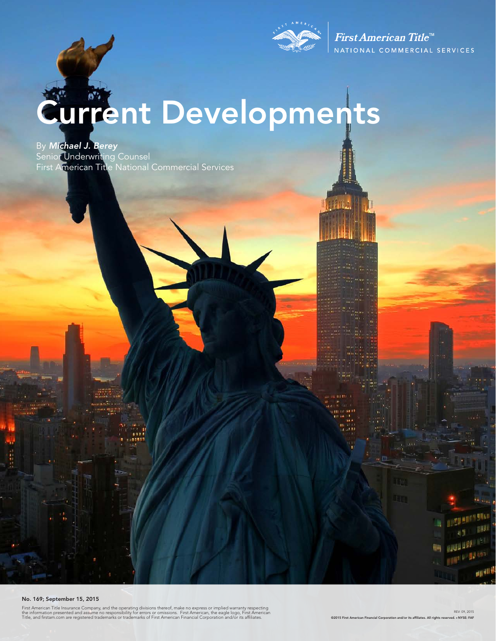

First American Title<sup>™</sup> NATIONAL COMMERCIAL SERVICES

# Current Developments

By *Michael J. Berey*  Senior Underwriting Counsel First American Title National Commercial Services

#### No. 169; September 15, 2015

First American Title Insurance Company, and the operating divisions thereof, make no express or implied warranty respecting<br>the information presented and assume no responsibility for errors or omissions. First American, th

REV: 09, 2015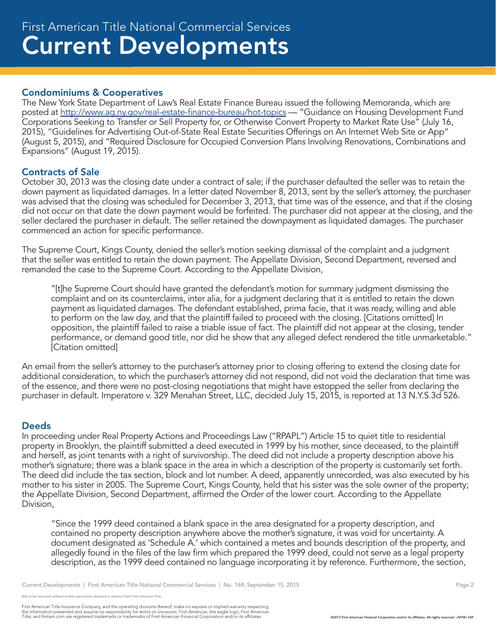## Condominiums & Cooperatives

The New York State Department of Law's Real Estate Finance Bureau issued the following Memoranda, which are posted at http://www.ag.ny.gov/real-estate-finance-bureau/hot-topics — "Guidance on Housing Development Fund Corporations Seeking to Transfer or Sell Property for, or Otherwise Convert Property to Market Rate Use" (July 16, 2015), "Guidelines for Advertising Out-of-State Real Estate Securities Offerings on An Internet Web Site or App" (August 5, 2015), and "Required Disclosure for Occupied Conversion Plans Involving Renovations, Combinations and Expansions" (August 19, 2015).

## Contracts of Sale

October 30, 2013 was the closing date under a contract of sale; if the purchaser defaulted the seller was to retain the down payment as liquidated damages. In a letter dated November 8, 2013, sent by the seller's attorney, the purchaser was advised that the closing was scheduled for December 3, 2013, that time was of the essence, and that if the closing did not occur on that date the down payment would be forfeited. The purchaser did not appear at the closing, and the seller declared the purchaser in default. The seller retained the downpayment as liquidated damages. The purchaser commenced an action for specific performance.

The Supreme Court, Kings County, denied the seller's motion seeking dismissal of the complaint and a judgment that the seller was entitled to retain the down payment. The Appellate Division, Second Department, reversed and remanded the case to the Supreme Court. According to the Appellate Division,

"[t]he Supreme Court should have granted the defendant's motion for summary judgment dismissing the complaint and on its counterclaims, inter alia, for a judgment declaring that it is entitled to retain the down payment as liquidated damages. The defendant established, prima facie, that it was ready, willing and able to perform on the law day, and that the plaintiff failed to proceed with the closing. [Citations omitted] In opposition, the plaintiff failed to raise a triable issue of fact. The plaintiff did not appear at the closing, tender performance, or demand good title, nor did he show that any alleged defect rendered the title unmarketable." [Citation omitted]

An email from the seller's attorney to the purchaser's attorney prior to closing offering to extend the closing date for additional consideration, to which the purchaser's attorney did not respond, did not void the declaration that time was of the essence, and there were no post-closing negotiations that might have estopped the seller from declaring the purchaser in default. Imperatore v. 329 Menahan Street, LLC, decided July 15, 2015, is reported at 13 N.Y.S.3d 526.

## **Deeds**

In proceeding under Real Property Actions and Proceedings Law ("RPAPL") Article 15 to quiet title to residential property in Brooklyn, the plaintiff submitted a deed executed in 1999 by his mother, since deceased, to the plaintiff and herself, as joint tenants with a right of survivorship. The deed did not include a property description above his mother's signature; there was a blank space in the area in which a description of the property is customarily set forth. The deed did include the tax section, block and lot number. A deed, apparently unrecorded, was also executed by his mother to his sister in 2005. The Supreme Court, Kings County, held that his sister was the sole owner of the property; the Appellate Division, Second Department, affirmed the Order of the lower court. According to the Appellate Division,

"Since the 1999 deed contained a blank space in the area designated for a property description, and contained no property description anywhere above the mother's signature, it was void for uncertainty. A document designated as 'Schedule A.' which contained a metes and bounds description of the property, and allegedly found in the files of the law firm which prepared the 1999 deed, could not serve as a legal property description, as the 1999 deed contained no language incorporating it by reference. Furthermore, the section,

not to be reprinted without written permission obtained in advance from First American Title.

First American Title Insurance Company, and the operating divisions thereof, make no express or implied warranty respecting<br>the information presented and assume no responsibility for errors or omissions. First American fin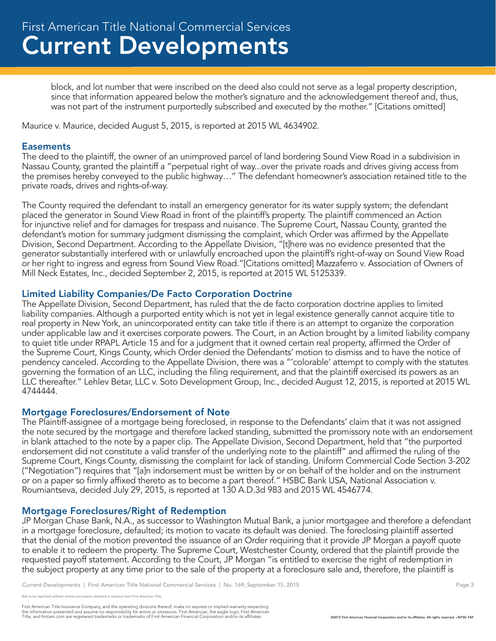block, and lot number that were inscribed on the deed also could not serve as a legal property description, since that information appeared below the mother's signature and the acknowledgement thereof and, thus, was not part of the instrument purportedly subscribed and executed by the mother." [Citations omitted]

Maurice v. Maurice, decided August 5, 2015, is reported at 2015 WL 4634902.

### **Easements**

The deed to the plaintiff, the owner of an unimproved parcel of land bordering Sound View Road in a subdivision in Nassau County, granted the plaintiff a "perpetual right of way...over the private roads and drives giving access from the premises hereby conveyed to the public highway…" The defendant homeowner's association retained title to the private roads, drives and rights-of-way.

The County required the defendant to install an emergency generator for its water supply system; the defendant placed the generator in Sound View Road in front of the plaintiff's property. The plaintiff commenced an Action for injunctive relief and for damages for trespass and nuisance. The Supreme Court, Nassau County, granted the defendant's motion for summary judgment dismissing the complaint, which Order was affirmed by the Appellate Division, Second Department. According to the Appellate Division, "[t]here was no evidence presented that the generator substantially interfered with or unlawfully encroached upon the plaintiff's right-of-way on Sound View Road or her right to ingress and egress from Sound View Road."[Citations omitted] Mazzaferro v. Association of Owners of Mill Neck Estates, Inc., decided September 2, 2015, is reported at 2015 WL 5125339.

#### Limited Liability Companies/De Facto Corporation Doctrine

The Appellate Division, Second Department, has ruled that the de facto corporation doctrine applies to limited liability companies. Although a purported entity which is not yet in legal existence generally cannot acquire title to real property in New York, an unincorporated entity can take title if there is an attempt to organize the corporation under applicable law and it exercises corporate powers. The Court, in an Action brought by a limited liability company to quiet title under RPAPL Article 15 and for a judgment that it owned certain real property, affirmed the Order of the Supreme Court, Kings County, which Order denied the Defendants' motion to dismiss and to have the notice of pendency canceled. According to the Appellate Division, there was a "'colorable' attempt to comply with the statutes governing the formation of an LLC, including the filing requirement, and that the plaintiff exercised its powers as an LLC thereafter." Lehlev Betar, LLC v. Soto Development Group, Inc., decided August 12, 2015, is reported at 2015 WL 4744444.

#### Mortgage Foreclosures/Endorsement of Note

The Plaintiff-assignee of a mortgage being foreclosed, in response to the Defendants' claim that it was not assigned the note secured by the mortgage and therefore lacked standing, submitted the promissory note with an endorsement in blank attached to the note by a paper clip. The Appellate Division, Second Department, held that "the purported endorsement did not constitute a valid transfer of the underlying note to the plaintiff" and affirmed the ruling of the Supreme Court, Kings County, dismissing the complaint for lack of standing. Uniform Commercial Code Section 3-202 ("Negotiation") requires that "[a]n indorsement must be written by or on behalf of the holder and on the instrument or on a paper so firmly affixed thereto as to become a part thereof." HSBC Bank USA, National Association v. Roumiantseva, decided July 29, 2015, is reported at 130 A.D.3d 983 and 2015 WL 4546774.

#### Mortgage Foreclosures/Right of Redemption

JP Morgan Chase Bank, N.A., as successor to Washington Mutual Bank, a junior mortgagee and therefore a defendant in a mortgage foreclosure, defaulted; its motion to vacate its default was denied. The foreclosing plaintiff asserted that the denial of the motion prevented the issuance of an Order requiring that it provide JP Morgan a payoff quote to enable it to redeem the property. The Supreme Court, Westchester County, ordered that the plaintiff provide the requested payoff statement. According to the Court, JP Morgan "is entitled to exercise the right of redemption in the subject property at any time prior to the sale of the property at a foreclosure sale and, therefore, the plaintiff is

reprinted without written permission obtained in advance from First American Title.

First American Title Insurance Company, and the operating divisions thereof, make no express or implied warranty respecting<br>the information presented and assume no responsibility for errors or omissions. First American fin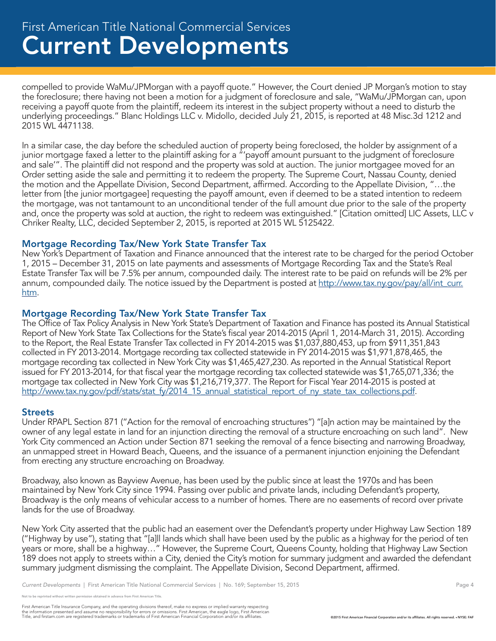compelled to provide WaMu/JPMorgan with a payoff quote." However, the Court denied JP Morgan's motion to stay the foreclosure; there having not been a motion for a judgment of foreclosure and sale, "WaMu/JPMorgan can, upon receiving a payoff quote from the plaintiff, redeem its interest in the subject property without a need to disturb the underlying proceedings." Blanc Holdings LLC v. Midollo, decided July 21, 2015, is reported at 48 Misc.3d 1212 and 2015 WL 4471138.

In a similar case, the day before the scheduled auction of property being foreclosed, the holder by assignment of a junior mortgage faxed a letter to the plaintiff asking for a "'payoff amount pursuant to the judgment of foreclosure and sale'". The plaintiff did not respond and the property was sold at auction. The junior mortgagee moved for an Order setting aside the sale and permitting it to redeem the property. The Supreme Court, Nassau County, denied the motion and the Appellate Division, Second Department, affirmed. According to the Appellate Division, "…the letter from [the junior mortgagee] requesting the payoff amount, even if deemed to be a stated intention to redeem the mortgage, was not tantamount to an unconditional tender of the full amount due prior to the sale of the property and, once the property was sold at auction, the right to redeem was extinguished." [Citation omitted] LIC Assets, LLC v Chriker Realty, LLC, decided September 2, 2015, is reported at 2015 WL 5125422.

## Mortgage Recording Tax/New York State Transfer Tax

New York's Department of Taxation and Finance announced that the interest rate to be charged for the period October 1, 2015 – December 31, 2015 on late payments and assessments of Mortgage Recording Tax and the State's Real Estate Transfer Tax will be 7.5% per annum, compounded daily. The interest rate to be paid on refunds will be 2% per annum, compounded daily. The notice issued by the Department is posted at http://www.tax.ny.gov/pay/all/int\_curr. htm.

## Mortgage Recording Tax/New York State Transfer Tax

The Office of Tax Policy Analysis in New York State's Department of Taxation and Finance has posted its Annual Statistical Report of New York State Tax Collections for the State's fiscal year 2014-2015 (April 1, 2014-March 31, 2015). According to the Report, the Real Estate Transfer Tax collected in FY 2014-2015 was \$1,037,880,453, up from \$911,351,843 collected in FY 2013-2014. Mortgage recording tax collected statewide in FY 2014-2015 was \$1,971,878,465, the mortgage recording tax collected in New York City was \$1,465,427,230. As reported in the Annual Statistical Report issued for FY 2013-2014, for that fiscal year the mortgage recording tax collected statewide was \$1,765,071,336; the mortgage tax collected in New York City was \$1,216,719,377. The Report for Fiscal Year 2014-2015 is posted at http://www.tax.ny.gov/pdf/stats/stat\_fy/2014\_15\_annual\_statistical\_report\_of\_ny\_state\_tax\_collections.pdf.

## **Streets**

Under RPAPL Section 871 ("Action for the removal of encroaching structures") "[a]n action may be maintained by the owner of any legal estate in land for an injunction directing the removal of a structure encroaching on such land". New York City commenced an Action under Section 871 seeking the removal of a fence bisecting and narrowing Broadway, an unmapped street in Howard Beach, Queens, and the issuance of a permanent injunction enjoining the Defendant from erecting any structure encroaching on Broadway.

Broadway, also known as Bayview Avenue, has been used by the public since at least the 1970s and has been maintained by New York City since 1994. Passing over public and private lands, including Defendant's property, Broadway is the only means of vehicular access to a number of homes. There are no easements of record over private lands for the use of Broadway.

New York City asserted that the public had an easement over the Defendant's property under Highway Law Section 189 ("Highway by use"), stating that "[a]ll lands which shall have been used by the public as a highway for the period of ten years or more, shall be a highway…" However, the Supreme Court, Queens County, holding that Highway Law Section 189 does not apply to streets within a City, denied the City's motion for summary judgment and awarded the defendant summary judgment dismissing the complaint. The Appellate Division, Second Department, affirmed.

*Current Developments* | First American Title National Commercial Services | No. 169; September 15, 2015 **Page 4** Page 4

eprinted without written permission obtained in advance from First American Title

First American Title Insurance Company, and the operating divisions thereof, make no express or implied warranty respecting<br>the information presented and assume no responsibility for errors or omissions. First American fin